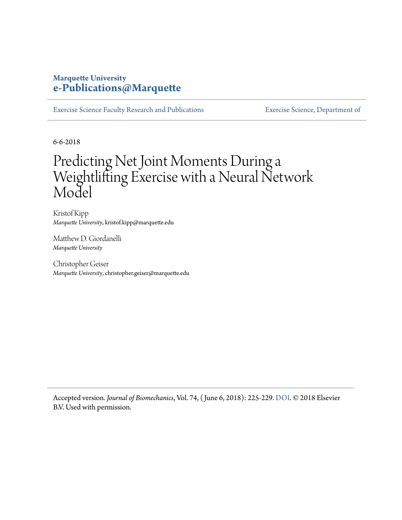#### **Marquette University [e-Publications@Marquette](https://epublications.marquette.edu)**

[Exercise Science Faculty Research and Publications](https://epublications.marquette.edu/exsci_fac) [Exercise Science, Department of](https://epublications.marquette.edu/exsci)

6-6-2018

## Predicting Net Joint Moments During a Weightlifting Exercise with a Neural Network Model

Kristof Kipp *Marquette University*, kristof.kipp@marquette.edu

Matthew D. Giordanelli *Marquette University*

Christopher Geiser *Marquette University*, christopher.geiser@marquette.edu

Accepted version*. Journal of Biomechanics*, Vol. 74, ( June 6, 2018): 225-229. [DOI](https://doi.org/10.1016/j.jbiomech.2018.04.021). © 2018 Elsevier B.V. Used with permission.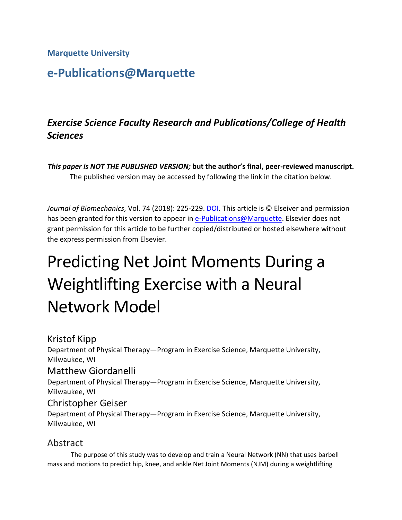**Marquette University**

## **e-Publications@Marquette**

### *Exercise Science Faculty Research and Publications/College of Health Sciences*

*This paper is NOT THE PUBLISHED VERSION;* **but the author's final, peer-reviewed manuscript.**  The published version may be accessed by following the link in the citation below.

*Journal of Biomechanics*, Vol. 74 (2018): 225-229. [DOI.](https://www.doi.org/10.1016/j.jbiomech.2018.04.021) This article is © Elseiver and permission has been granted for this version to appear in [e-Publications@Marquette.](http://epublications.marquette.edu/) Elsevier does not grant permission for this article to be further copied/distributed or hosted elsewhere without the express permission from Elsevier.

# Predicting Net Joint Moments During a Weightlifting Exercise with a Neural Network Model

Kristof Kipp Department of Physical Therapy—Program in Exercise Science, Marquette University, Milwaukee, WI

#### Matthew Giordanelli

Department of Physical Therapy—Program in Exercise Science, Marquette University, Milwaukee, WI

#### Christopher Geiser

Department of Physical Therapy—Program in Exercise Science, Marquette University, Milwaukee, WI

#### Abstract

The purpose of this study was to develop and train a Neural Network (NN) that uses barbell mass and motions to predict hip, knee, and ankle Net Joint Moments (NJM) during a weightlifting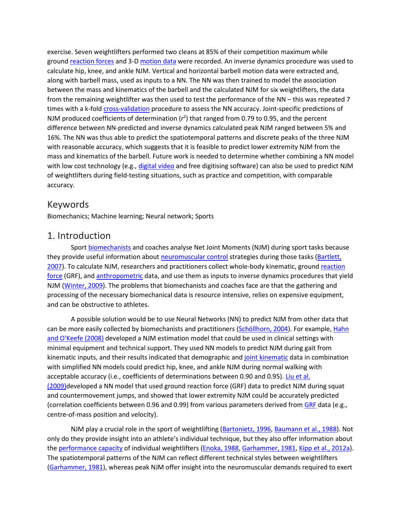exercise. Seven weightlifters performed two cleans at 85% of their competition maximum while ground [reaction forces](https://www.sciencedirect.com/topics/engineering/reaction-force) and 3-D [motion data](https://www.sciencedirect.com/topics/engineering/motion-data) were recorded. An inverse dynamics procedure was used to calculate hip, knee, and ankle NJM. Vertical and horizontal barbell motion data were extracted and, along with barbell mass, used as inputs to a NN. The NN was then trained to model the association between the mass and kinematics of the barbell and the calculated NJM for six weightlifters, the data from the remaining weightlifter was then used to test the performance of the NN – this was repeated 7 times with a k-fold [cross-validation](https://www.sciencedirect.com/topics/medicine-and-dentistry/cross-validation) procedure to assess the NN accuracy. Joint-specific predictions of NJM produced coefficients of determination  $(r^2)$  that ranged from 0.79 to 0.95, and the percent difference between NN-predicted and inverse dynamics calculated peak NJM ranged between 5% and 16%. The NN was thus able to predict the spatiotemporal patterns and discrete peaks of the three NJM with reasonable accuracy, which suggests that it is feasible to predict lower extremity NJM from the mass and kinematics of the barbell. Future work is needed to determine whether combining a NN model with low cost technology (e.g., [digital video](https://www.sciencedirect.com/topics/engineering/digital-video) and free digitising software) can also be used to predict NJM of weightlifters during field-testing situations, such as practice and competition, with comparable accuracy.

#### Keywords

Biomechanics; Machine learning; Neural network; Sports

#### 1. Introduction

Sport [biomechanists](https://www.sciencedirect.com/topics/medicine-and-dentistry/biomechanist) and coaches analyse Net Joint Moments (NJM) during sport tasks because they provide useful information about [neuromuscular control](https://www.sciencedirect.com/topics/medicine-and-dentistry/neuromuscular-function) strategies during those tasks [\(Bartlett,](https://www.sciencedirect.com/science/article/pii/S002192901830294X?via%3Dihub#b0005)  [2007\)](https://www.sciencedirect.com/science/article/pii/S002192901830294X?via%3Dihub#b0005). To calculate NJM, researchers and practitioners collect whole-body kinematic, ground reaction [force](https://www.sciencedirect.com/topics/engineering/reaction-force) (GRF), and [anthropometric](https://www.sciencedirect.com/topics/medicine-and-dentistry/anthropometry) data, and use them as inputs to inverse dynamics procedures that yield NJM [\(Winter, 2009\)](https://www.sciencedirect.com/science/article/pii/S002192901830294X?via%3Dihub#b0090). The problems that biomechanists and coaches face are that the gathering and processing of the necessary biomechanical data is resource intensive, relies on expensive equipment, and can be obstructive to athletes.

A possible solution would be to use Neural Networks (NN) to predict NJM from other data that can be more easily collected by biomechanists and practitioners [\(Schöllhorn, 2004\)](https://www.sciencedirect.com/science/article/pii/S002192901830294X?via%3Dihub#b0080). For example, Hahn [and O'Keefe \(2008\)](https://www.sciencedirect.com/science/article/pii/S002192901830294X?via%3Dihub#b0055) developed a NJM estimation model that could be used in clinical settings with minimal equipment and technical support. They used NN models to predict NJM during gait from kinematic inputs, and their results indicated that demographic and [joint kinematic](https://www.sciencedirect.com/topics/engineering/joint-kinematics) data in combination with simplified NN models could predict hip, knee, and ankle NJM during normal walking with acceptable accuracy (i.e., coefficients of determinations between 0.90 and 0.95). [Liu et al.](https://www.sciencedirect.com/science/article/pii/S002192901830294X?via%3Dihub#b0075)  [\(2009\)d](https://www.sciencedirect.com/science/article/pii/S002192901830294X?via%3Dihub#b0075)eveloped a NN model that used ground reaction force (GRF) data to predict NJM during squat and countermovement jumps, and showed that lower extremity NJM could be accurately predicted (correlation coefficients between 0.96 and 0.99) from various parameters derived from [GRF](https://www.sciencedirect.com/topics/medicine-and-dentistry/growth-hormone-releasing-factor) data (e.g., centre-of-mass position and velocity).

NJM play a crucial role in the sport of weightlifting [\(Bartonietz, 1996,](https://www.sciencedirect.com/science/article/pii/S002192901830294X?via%3Dihub#b0010) [Baumann et al., 1988\)](https://www.sciencedirect.com/science/article/pii/S002192901830294X?via%3Dihub#b0015). Not only do they provide insight into an athlete's individual technique, but they also offer information about the [performance capacity](https://www.sciencedirect.com/topics/engineering/capacity-performance) of individual weightlifters [\(Enoka, 1988,](https://www.sciencedirect.com/science/article/pii/S002192901830294X?via%3Dihub#b0025) [Garhammer, 1981,](https://www.sciencedirect.com/science/article/pii/S002192901830294X?via%3Dihub#b0035) [Kipp et al., 2012a\)](https://www.sciencedirect.com/science/article/pii/S002192901830294X?via%3Dihub#b0065). The spatiotemporal patterns of the NJM can reflect different technical styles between weightlifters [\(Garhammer, 1981\)](https://www.sciencedirect.com/science/article/pii/S002192901830294X?via%3Dihub#b0035), whereas peak NJM offer insight into the neuromuscular demands required to exert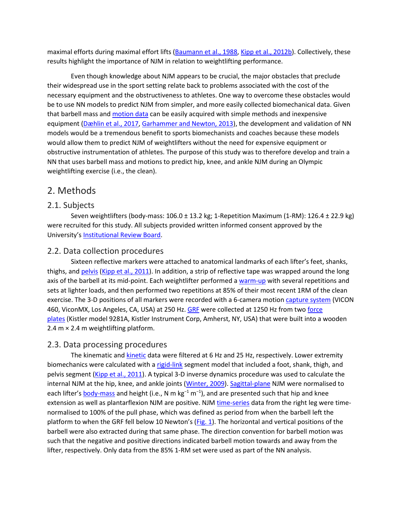maximal efforts during maximal effort lifts [\(Baumann et al., 1988,](https://www.sciencedirect.com/science/article/pii/S002192901830294X?via%3Dihub#b0015) [Kipp et al., 2012b\)](https://www.sciencedirect.com/science/article/pii/S002192901830294X?via%3Dihub#b0070). Collectively, these results highlight the importance of NJM in relation to weightlifting performance.

Even though knowledge about NJM appears to be crucial, the major obstacles that preclude their widespread use in the sport setting relate back to problems associated with the cost of the necessary equipment and the obstructiveness to athletes. One way to overcome these obstacles would be to use NN models to predict NJM from simpler, and more easily collected biomechanical data. Given that barbell mass and [motion data](https://www.sciencedirect.com/topics/engineering/motion-data) can be easily acquired with simple methods and inexpensive equipment [\(Dæhlin et al., 2017,](https://www.sciencedirect.com/science/article/pii/S002192901830294X?via%3Dihub#b0020) [Garhammer and Newton, 2013\)](https://www.sciencedirect.com/science/article/pii/S002192901830294X?via%3Dihub#b0050), the development and validation of NN models would be a tremendous benefit to sports biomechanists and coaches because these models would allow them to predict NJM of weightlifters without the need for expensive equipment or obstructive instrumentation of athletes. The purpose of this study was to therefore develop and train a NN that uses barbell mass and motions to predict hip, knee, and ankle NJM during an Olympic weightlifting exercise (i.e., the clean).

#### 2. Methods

#### 2.1. Subjects

Seven weightlifters (body-mass: 106.0 ± 13.2 kg; 1-Repetition Maximum (1-RM): 126.4 ± 22.9 kg) were recruited for this study. All subjects provided written informed consent approved by the University's [Institutional Review Board.](https://www.sciencedirect.com/topics/engineering/institutional-review-board)

#### 2.2. Data collection procedures

Sixteen reflective markers were attached to anatomical landmarks of each lifter's feet, shanks, thighs, and [pelvis](https://www.sciencedirect.com/topics/medicine-and-dentistry/pelvis) [\(Kipp et al., 2011\)](https://www.sciencedirect.com/science/article/pii/S002192901830294X?via%3Dihub#b0060). In addition, a strip of reflective tape was wrapped around the long axis of the barbell at its mid-point. Each weightlifter performed a [warm-up](https://www.sciencedirect.com/topics/medicine-and-dentistry/warm-up) with several repetitions and sets at lighter loads, and then performed two repetitions at 85% of their most recent 1RM of the clean exercise. The 3-D positions of all markers were recorded with a 6-camera motion [capture system](https://www.sciencedirect.com/topics/engineering/capture-system) (VICON 460, ViconMX, Los Angeles, CA, USA) at 250 Hz. [GRF](https://www.sciencedirect.com/topics/medicine-and-dentistry/growth-hormone-releasing-factor) were collected at 1250 Hz from two [force](https://www.sciencedirect.com/topics/engineering/force-plate)  [plates](https://www.sciencedirect.com/topics/engineering/force-plate) (Kistler model 9281A, Kistler Instrument Corp, Amherst, NY, USA) that were built into a wooden 2.4 m × 2.4 m weightlifting platform.

#### 2.3. Data processing procedures

The kinematic and [kinetic](https://www.sciencedirect.com/topics/engineering/kinetic) data were filtered at 6 Hz and 25 Hz, respectively. Lower extremity biomechanics were calculated with a [rigid-link](https://www.sciencedirect.com/topics/engineering/rigid-link) segment model that included a foot, shank, thigh, and pelvis segment [\(Kipp et al., 2011\)](https://www.sciencedirect.com/science/article/pii/S002192901830294X?via%3Dihub#b0060). A typical 3-D inverse dynamics procedure was used to calculate the internal NJM at the hip, knee, and ankle joints [\(Winter, 2009\)](https://www.sciencedirect.com/science/article/pii/S002192901830294X?via%3Dihub#b0090). [Sagittal-plane](https://www.sciencedirect.com/topics/engineering/sagittal-plane) NJM were normalised to each lifter's [body-mass](https://www.sciencedirect.com/topics/engineering/body-mass) and height (i.e., N m kg<sup>-1</sup> m<sup>-1</sup>), and are presented such that hip and knee extension as well as plantarflexion NJM are positive. NJM [time-series](https://www.sciencedirect.com/topics/medicine-and-dentistry/time-series-analysis) data from the right leg were timenormalised to 100% of the pull phase, which was defined as period from when the barbell left the platform to when the GRF fell below 10 Newton's [\(Fig. 1\)](https://www.sciencedirect.com/science/article/pii/S002192901830294X?via%3Dihub#f0005). The horizontal and vertical positions of the barbell were also extracted during that same phase. The direction convention for barbell motion was such that the negative and positive directions indicated barbell motion towards and away from the lifter, respectively. Only data from the 85% 1-RM set were used as part of the NN analysis.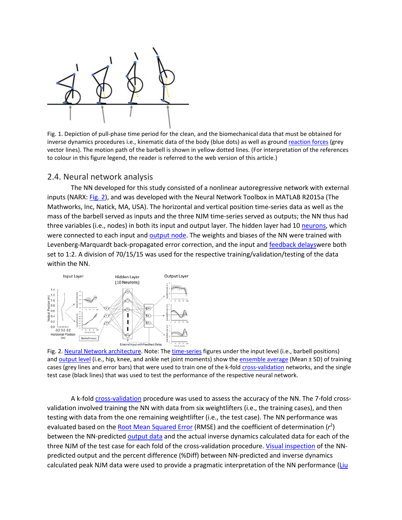

Fig. 1. Depiction of pull-phase time period for the clean, and the biomechanical data that must be obtained for inverse dynamics procedures i.e., kinematic data of the body (blue dots) as well as ground [reaction forces](https://www.sciencedirect.com/topics/engineering/reaction-force) (grey vector lines). The motion path of the barbell is shown in yellow dotted lines. (For interpretation of the references to colour in this figure legend, the reader is referred to the web version of this article.)

#### 2.4. Neural network analysis

The NN developed for this study consisted of a nonlinear autoregressive network with external inputs (NARX: [Fig. 2\)](https://www.sciencedirect.com/science/article/pii/S002192901830294X?via%3Dihub#f0010), and was developed with the Neural Network Toolbox in MATLAB R2015a (The Mathworks, Inc, Natick, MA, USA). The horizontal and vertical position time-series data as well as the mass of the barbell served as inputs and the three NJM time-series served as outputs; the NN thus had three variables (i.e., nodes) in both its input and output layer. The hidden layer had 10 [neurons,](https://www.sciencedirect.com/topics/engineering/neurons) which were connected to each input and [output node.](https://www.sciencedirect.com/topics/engineering/output-node) The weights and biases of the NN were trained with Levenberg-Marquardt back-propagated error correction, and the input and [feedback delaysw](https://www.sciencedirect.com/topics/engineering/feedback-delay)ere both set to 1:2. A division of 70/15/15 was used for the respective training/validation/testing of the data within the NN.



Fig. 2. [Neural Network architecture.](https://www.sciencedirect.com/topics/engineering/neural-network-architecture) Note: The [time-series](https://www.sciencedirect.com/topics/medicine-and-dentistry/time-series-analysis) figures under the input level (i.e., barbell positions) and [output level](https://www.sciencedirect.com/topics/engineering/output-level) (i.e., hip, knee, and ankle net joint moments) show the [ensemble average](https://www.sciencedirect.com/topics/engineering/ensemble-average) (Mean ± SD) of training cases (grey lines and error bars) that were used to train one of the k-fold [cross-validation](https://www.sciencedirect.com/topics/medicine-and-dentistry/cross-validation) networks, and the single test case (black lines) that was used to test the performance of the respective neural network.

A k-fold [cross-validation](https://www.sciencedirect.com/topics/medicine-and-dentistry/cross-validation) procedure was used to assess the accuracy of the NN. The 7-fold crossvalidation involved training the NN with data from six weightlifters (i.e., the training cases), and then testing with data from the one remaining weightlifter (i.e., the test case). The NN performance was evaluated based on the **[Root Mean Squared Error](https://www.sciencedirect.com/topics/engineering/root-mean-squared-error)** (RMSE) and the coefficient of determination (r<sup>2</sup>) between the NN-predicted [output data](https://www.sciencedirect.com/topics/engineering/output-data) and the actual inverse dynamics calculated data for each of the three NJM of the test case for each fold of the cross-validation procedure. [Visual inspection](https://www.sciencedirect.com/topics/engineering/visual-inspection) of the NNpredicted output and the percent difference (%Diff) between NN-predicted and inverse dynamics calculated peak NJM data were used to provide a pragmatic interpretation of the NN performance (Liu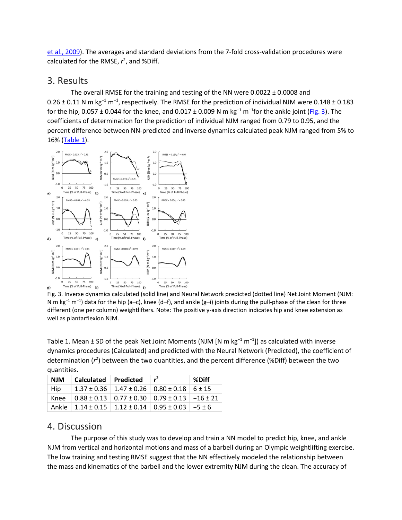[et al., 2009\)](https://www.sciencedirect.com/science/article/pii/S002192901830294X?via%3Dihub#b0075). The averages and standard deviations from the 7-fold cross-validation procedures were calculated for the RMSE, *r* 2 , and %Diff.

#### 3. Results

The overall RMSE for the training and testing of the NN were 0.0022 ± 0.0008 and 0.26  $\pm$  0.11 N m kg<sup>-1</sup> m<sup>-1</sup>, respectively. The RMSE for the prediction of individual NJM were 0.148  $\pm$  0.183 for the hip, 0.057 ± 0.044 for the knee, and 0.017 ± 0.009 N m kg<sup>-1</sup> m<sup>-1</sup>for the ankle joint [\(Fig. 3\)](https://www.sciencedirect.com/science/article/pii/S002192901830294X?via%3Dihub#f0015). The coefficients of determination for the prediction of individual NJM ranged from 0.79 to 0.95, and the percent difference between NN-predicted and inverse dynamics calculated peak NJM ranged from 5% to 16% [\(Table 1\)](https://www.sciencedirect.com/science/article/pii/S002192901830294X?via%3Dihub#t0005).



Fig. 3. Inverse dynamics calculated (solid line) and Neural Network predicted (dotted line) Net Joint Moment (NJM: N m kg<sup>-1</sup> m<sup>-1</sup>) data for the hip (a–c), knee (d–f), and ankle (g–i) joints during the pull-phase of the clean for three different (one per column) weightlifters. Note: The positive y-axis direction indicates hip and knee extension as well as plantarflexion NJM.

Table 1. Mean ± SD of the peak Net Joint Moments (NJM [N m kg<sup>-1</sup> m<sup>-1</sup>]) as calculated with inverse dynamics procedures (Calculated) and predicted with the Neural Network (Predicted), the coefficient of determination (r<sup>2</sup>) between the two quantities, and the percent difference (%Diff) between the two quantities.

|  | <b>NJM</b> | Calculated | <b>Predicted</b>                                                         | $r^2$ | %Diff |
|--|------------|------------|--------------------------------------------------------------------------|-------|-------|
|  | Hip        |            | $1.37 \pm 0.36$   $1.47 \pm 0.26$   $0.80 \pm 0.18$   $6 \pm 15$         |       |       |
|  | Knee       |            | $0.88 \pm 0.13$   $0.77 \pm 0.30$   $0.79 \pm 0.13$   $-16 \pm 21$       |       |       |
|  |            |            | Ankle   $1.14 \pm 0.15$   $1.12 \pm 0.14$   $0.95 \pm 0.03$   $-5 \pm 6$ |       |       |

#### 4. Discussion

The purpose of this study was to develop and train a NN model to predict hip, knee, and ankle NJM from vertical and horizontal motions and mass of a barbell during an Olympic weightlifting exercise. The low training and testing RMSE suggest that the NN effectively modeled the relationship between the mass and kinematics of the barbell and the lower extremity NJM during the clean. The accuracy of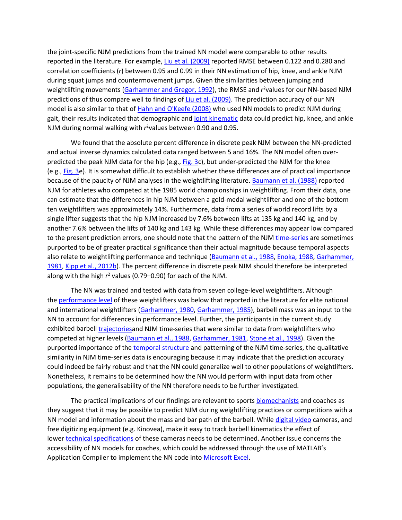the joint-specific NJM predictions from the trained NN model were comparable to other results reported in the literature. For example, [Liu et al. \(2009\)](https://www.sciencedirect.com/science/article/pii/S002192901830294X?via%3Dihub#b0075) reported RMSE between 0.122 and 0.280 and correlation coefficients (*r*) between 0.95 and 0.99 in their NN estimation of hip, knee, and ankle NJM during squat jumps and countermovement jumps. Given the similarities between jumping and weightlifting movements [\(Garhammer and Gregor, 1992\)](https://www.sciencedirect.com/science/article/pii/S002192901830294X?via%3Dihub#b0045), the RMSE and r<sup>2</sup>values for our NN-based NJM predictions of thus compare well to findings of [Liu et al. \(2009\).](https://www.sciencedirect.com/science/article/pii/S002192901830294X?via%3Dihub#b0075) The prediction accuracy of our NN model is also similar to that of [Hahn and O'Keefe \(2008\)](https://www.sciencedirect.com/science/article/pii/S002192901830294X?via%3Dihub#b0055) who used NN models to predict NJM during gait, their results indicated that demographic and [joint kinematic](https://www.sciencedirect.com/topics/engineering/joint-kinematics) data could predict hip, knee, and ankle NJM during normal walking with r<sup>2</sup>values between 0.90 and 0.95.

We found that the absolute percent difference in discrete peak NJM between the NN-predicted and actual inverse dynamics calculated data ranged between 5 and 16%. The NN model often over-predicted the peak NJM data for the hip (e.g., [Fig. 3c](https://www.sciencedirect.com/science/article/pii/S002192901830294X?via%3Dihub#f0015)), but under-predicted the NJM for the knee (e.g., [Fig. 3e](https://www.sciencedirect.com/science/article/pii/S002192901830294X?via%3Dihub#f0015)). It is somewhat difficult to establish whether these differences are of practical importance because of the paucity of NJM analyses in the weightlifting literature. [Baumann et al. \(1988\)](https://www.sciencedirect.com/science/article/pii/S002192901830294X?via%3Dihub#b0015) reported NJM for athletes who competed at the 1985 world championships in weightlifting. From their data, one can estimate that the differences in hip NJM between a gold-medal weightlifter and one of the bottom ten weightlifters was approximately 14%. Furthermore, data from a series of world record lifts by a single lifter suggests that the hip NJM increased by 7.6% between lifts at 135 kg and 140 kg, and by another 7.6% between the lifts of 140 kg and 143 kg. While these differences may appear low compared to the present prediction errors, one should note that the pattern of the NJM [time-series](https://www.sciencedirect.com/topics/medicine-and-dentistry/time-series-analysis) are sometimes purported to be of greater practical significance than their actual magnitude because temporal aspects also relate to weightlifting performance and technique [\(Baumann et al., 1988,](https://www.sciencedirect.com/science/article/pii/S002192901830294X?via%3Dihub#b0015) [Enoka, 1988,](https://www.sciencedirect.com/science/article/pii/S002192901830294X?via%3Dihub#b0025) [Garhammer,](https://www.sciencedirect.com/science/article/pii/S002192901830294X?via%3Dihub#b0035)  [1981,](https://www.sciencedirect.com/science/article/pii/S002192901830294X?via%3Dihub#b0035) [Kipp et al., 2012b\)](https://www.sciencedirect.com/science/article/pii/S002192901830294X?via%3Dihub#b0070). The percent difference in discrete peak NJM should therefore be interpreted along with the high *r* <sup>2</sup> values (0.79–0.90) for each of the NJM.

The NN was trained and tested with data from seven college-level weightlifters. Although the [performance level](https://www.sciencedirect.com/topics/engineering/level-performance) of these weightlifters was below that reported in the literature for elite national and international weightlifters [\(Garhammer, 1980,](https://www.sciencedirect.com/science/article/pii/S002192901830294X?via%3Dihub#b0030) [Garhammer, 1985\)](https://www.sciencedirect.com/science/article/pii/S002192901830294X?via%3Dihub#b0040), barbell mass was an input to the NN to account for differences in performance level. Further, the participants in the current study exhibited barbell [trajectoriesa](https://www.sciencedirect.com/topics/engineering/trajectories)nd NJM time-series that were similar to data from weightlifters who competed at higher levels [\(Baumann et al., 1988,](https://www.sciencedirect.com/science/article/pii/S002192901830294X?via%3Dihub#b0015) [Garhammer, 1981,](https://www.sciencedirect.com/science/article/pii/S002192901830294X?via%3Dihub#b0035) [Stone et al., 1998\)](https://www.sciencedirect.com/science/article/pii/S002192901830294X?via%3Dihub#b0085). Given the purported importance of the [temporal structure](https://www.sciencedirect.com/topics/engineering/temporal-structure) and patterning of the NJM time-series, the qualitative similarity in NJM time-series data is encouraging because it may indicate that the prediction accuracy could indeed be fairly robust and that the NN could generalize well to other populations of weightlifters. Nonetheless, it remains to be determined how the NN would perform with input data from other populations, the generalisability of the NN therefore needs to be further investigated.

The practical implications of our findings are relevant to sports [biomechanists](https://www.sciencedirect.com/topics/medicine-and-dentistry/biomechanist) and coaches as they suggest that it may be possible to predict NJM during weightlifting practices or competitions with a NN model and information about the mass and bar path of the barbell. While [digital video](https://www.sciencedirect.com/topics/engineering/digital-video) cameras, and free digitizing equipment (e.g. Kinovea), make it easy to track barbell kinematics the effect of lower [technical specifications](https://www.sciencedirect.com/topics/engineering/technical-specification) of these cameras needs to be determined. Another issue concerns the accessibility of NN models for coaches, which could be addressed through the use of MATLAB's Application Compiler to implement the NN code into [Microsoft Excel.](https://www.sciencedirect.com/topics/engineering/microsoft-excel)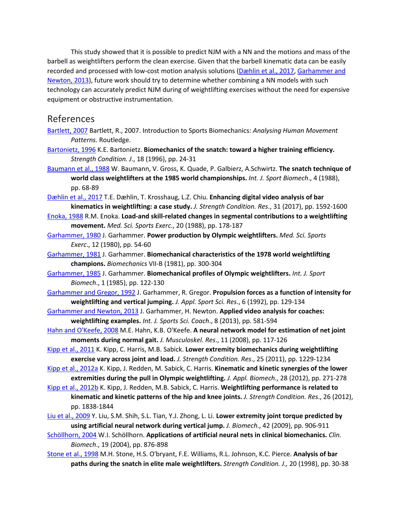This study showed that it is possible to predict NJM with a NN and the motions and mass of the barbell as weightlifters perform the clean exercise. Given that the barbell kinematic data can be easily recorded and processed with low-cost motion analysis solutions [\(Dæhlin et al., 2017,](https://www.sciencedirect.com/science/article/pii/S002192901830294X?via%3Dihub#b0020) [Garhammer and](https://www.sciencedirect.com/science/article/pii/S002192901830294X?via%3Dihub#b0050)  [Newton, 2013\)](https://www.sciencedirect.com/science/article/pii/S002192901830294X?via%3Dihub#b0050), future work should try to determine whether combining a NN models with such technology can accurately predict NJM during of weightlifting exercises without the need for expensive equipment or obstructive instrumentation.

#### References

- [Bartlett, 2007](https://www.sciencedirect.com/science/article/pii/S002192901830294X?via%3Dihub#bb0005) Bartlett, R., 2007. Introduction to Sports Biomechanics: *Analysing Human Movement Patterns.* Routledge.
- [Bartonietz, 1996](https://www.sciencedirect.com/science/article/pii/S002192901830294X?via%3Dihub#bb0010) K.E. Bartonietz. **Biomechanics of the snatch: toward a higher training efficiency.**  *Strength Condition. J*., 18 (1996), pp. 24-31
- [Baumann et al., 1988](https://www.sciencedirect.com/science/article/pii/S002192901830294X?via%3Dihub#bb0015) W. Baumann, V. Gross, K. Quade, P. Galbierz, A.Schwirtz. **The snatch technique of world class weightlifters at the 1985 world championships.** *Int. J. Sport Biomech*., 4 (1988), pp. 68-89
- [Dæhlin et al., 2017](https://www.sciencedirect.com/science/article/pii/S002192901830294X?via%3Dihub#bb0020) T.E. Dæhlin, T. Krosshaug, L.Z. Chiu. **Enhancing digital video analysis of bar kinematics in weightlifting: a case study.** *J. Strength Condition. Res*., 31 (2017), pp. 1592-1600
- [Enoka, 1988](https://www.sciencedirect.com/science/article/pii/S002192901830294X?via%3Dihub#bb0025) R.M. Enoka. **Load-and skill-related changes in segmental contributions to a weightlifting movement.** *Med. Sci. Sports Exerc*., 20 (1988), pp. 178-187
- [Garhammer, 1980](https://www.sciencedirect.com/science/article/pii/S002192901830294X?via%3Dihub#bb0030) J. Garhammer. **Power production by Olympic weightlifters.** *Med. Sci. Sports Exerc*., 12 (1980), pp. 54-60
- [Garhammer, 1981](https://www.sciencedirect.com/science/article/pii/S002192901830294X?via%3Dihub#bb0035) J. Garhammer. **Biomechanical characteristics of the 1978 world weightlifting champions.** *Biomechanics* VII-B (1981), pp. 300-304
- [Garhammer, 1985](https://www.sciencedirect.com/science/article/pii/S002192901830294X?via%3Dihub#bb0040) J. Garhammer. **Biomechanical profiles of Olympic weightlifters.** *Int. J. Sport Biomech*., 1 (1985), pp. 122-130
- [Garhammer and Gregor, 1992](https://www.sciencedirect.com/science/article/pii/S002192901830294X?via%3Dihub#bb0045) J. Garhammer, R. Gregor. **Propulsion forces as a function of intensity for weightlifting and vertical jumping.** *J. Appl. Sport Sci. Res*., 6 (1992), pp. 129-134
- [Garhammer and Newton, 2013](https://www.sciencedirect.com/science/article/pii/S002192901830294X?via%3Dihub#bb0050) J. Garhammer, H. Newton. **Applied video analysis for coaches: weightlifting examples.** *Int. J. Sports Sci. Coach*., 8 (2013), pp. 581-594
- [Hahn and O'Keefe, 2008](https://www.sciencedirect.com/science/article/pii/S002192901830294X?via%3Dihub#bb0055) M.E. Hahn, K.B. O'Keefe. **A neural network model for estimation of net joint moments during normal gait.** *J. Musculoskel. Res*., 11 (2008), pp. 117-126
- [Kipp et al., 2011](https://www.sciencedirect.com/science/article/pii/S002192901830294X?via%3Dihub#bb0060) K. Kipp, C. Harris, M.B. Sabick. **Lower extremity biomechanics during weightlifting exercise vary across joint and load.** *J. Strength Condition. Res*., 25 (2011), pp. 1229-1234
- [Kipp et al., 2012a](https://www.sciencedirect.com/science/article/pii/S002192901830294X?via%3Dihub#bb0065) K. Kipp, J. Redden, M. Sabick, C. Harris. **Kinematic and kinetic synergies of the lower extremities during the pull in Olympic weightlifting.** *J. Appl. Biomech*., 28 (2012), pp. 271-278
- [Kipp et al., 2012b](https://www.sciencedirect.com/science/article/pii/S002192901830294X?via%3Dihub#bb0070) K. Kipp, J. Redden, M.B. Sabick, C. Harris. **Weightlifting performance is related to kinematic and kinetic patterns of the hip and knee joints.** *J. Strength Condition. Res*., 26 (2012), pp. 1838-1844
- [Liu et al., 2009](https://www.sciencedirect.com/science/article/pii/S002192901830294X?via%3Dihub#bb0075) Y. Liu, S.M. Shih, S.L. Tian, Y.J. Zhong, L. Li. **Lower extremity joint torque predicted by using artificial neural network during vertical jump.** *J. Biomech*., 42 (2009), pp. 906-911
- [Schöllhorn, 2004](https://www.sciencedirect.com/science/article/pii/S002192901830294X?via%3Dihub#bb0080) W.I. Schöllhorn. **Applications of artificial neural nets in clinical biomechanics.** *Clin. Biomech*., 19 (2004), pp. 876-898
- [Stone et al., 1998](https://www.sciencedirect.com/science/article/pii/S002192901830294X?via%3Dihub#bb0085) M.H. Stone, H.S. O'bryant, F.E. Williams, R.L. Johnson, K.C. Pierce. **Analysis of bar paths during the snatch in elite male weightlifters.** *Strength Condition. J.,* 20 (1998), pp. 30-38